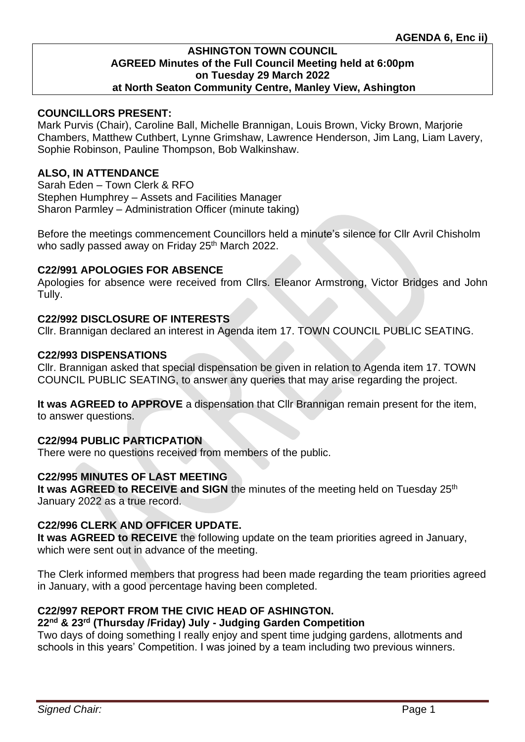## **COUNCILLORS PRESENT:**

Mark Purvis (Chair), Caroline Ball, Michelle Brannigan, Louis Brown, Vicky Brown, Marjorie Chambers, Matthew Cuthbert, Lynne Grimshaw, Lawrence Henderson, Jim Lang, Liam Lavery, Sophie Robinson, Pauline Thompson, Bob Walkinshaw.

## **ALSO, IN ATTENDANCE**

Sarah Eden – Town Clerk & RFO Stephen Humphrey – Assets and Facilities Manager Sharon Parmley – Administration Officer (minute taking)

Before the meetings commencement Councillors held a minute's silence for Cllr Avril Chisholm who sadly passed away on Friday 25<sup>th</sup> March 2022.

#### **C22/991 APOLOGIES FOR ABSENCE**

Apologies for absence were received from Cllrs. Eleanor Armstrong, Victor Bridges and John Tully.

## **C22/992 DISCLOSURE OF INTERESTS**

Cllr. Brannigan declared an interest in Agenda item 17. TOWN COUNCIL PUBLIC SEATING.

#### **C22/993 DISPENSATIONS**

Cllr. Brannigan asked that special dispensation be given in relation to Agenda item 17. TOWN COUNCIL PUBLIC SEATING, to answer any queries that may arise regarding the project.

**It was AGREED to APPROVE** a dispensation that Cllr Brannigan remain present for the item, to answer questions.

## **C22/994 PUBLIC PARTICPATION**

There were no questions received from members of the public.

## **C22/995 MINUTES OF LAST MEETING**

It was AGREED to RECEIVE and SIGN the minutes of the meeting held on Tuesday 25<sup>th</sup> January 2022 as a true record.

## **C22/996 CLERK AND OFFICER UPDATE.**

**It was AGREED to RECEIVE** the following update on the team priorities agreed in January, which were sent out in advance of the meeting.

The Clerk informed members that progress had been made regarding the team priorities agreed in January, with a good percentage having been completed.

## **C22/997 REPORT FROM THE CIVIC HEAD OF ASHINGTON.**

#### **22nd & 23rd (Thursday /Friday) July - Judging Garden Competition**

Two days of doing something I really enjoy and spent time judging gardens, allotments and schools in this years' Competition. I was joined by a team including two previous winners.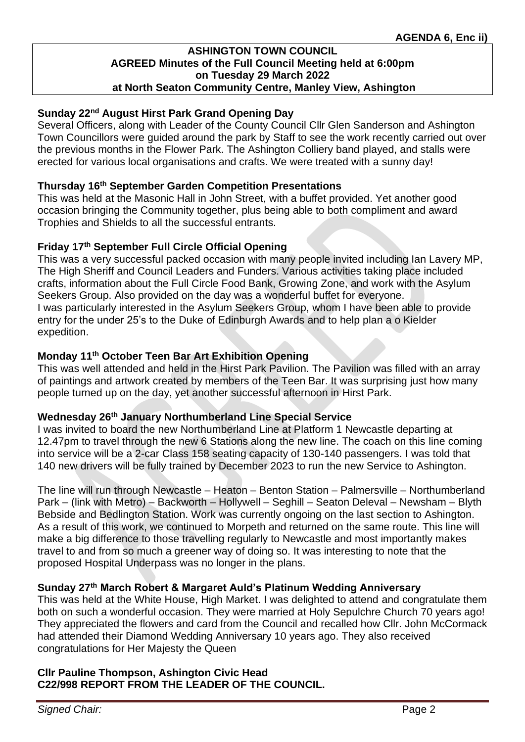# **Sunday 22nd August Hirst Park Grand Opening Day**

Several Officers, along with Leader of the County Council Cllr Glen Sanderson and Ashington Town Councillors were guided around the park by Staff to see the work recently carried out over the previous months in the Flower Park. The Ashington Colliery band played, and stalls were erected for various local organisations and crafts. We were treated with a sunny day!

## **Thursday 16th September Garden Competition Presentations**

This was held at the Masonic Hall in John Street, with a buffet provided. Yet another good occasion bringing the Community together, plus being able to both compliment and award Trophies and Shields to all the successful entrants.

## **Friday 17th September Full Circle Official Opening**

This was a very successful packed occasion with many people invited including Ian Lavery MP, The High Sheriff and Council Leaders and Funders. Various activities taking place included crafts, information about the Full Circle Food Bank, Growing Zone, and work with the Asylum Seekers Group. Also provided on the day was a wonderful buffet for everyone. I was particularly interested in the Asylum Seekers Group, whom I have been able to provide entry for the under 25's to the Duke of Edinburgh Awards and to help plan a o Kielder expedition.

## **Monday 11th October Teen Bar Art Exhibition Opening**

This was well attended and held in the Hirst Park Pavilion. The Pavilion was filled with an array of paintings and artwork created by members of the Teen Bar. It was surprising just how many people turned up on the day, yet another successful afternoon in Hirst Park.

## **Wednesday 26th January Northumberland Line Special Service**

I was invited to board the new Northumberland Line at Platform 1 Newcastle departing at 12.47pm to travel through the new 6 Stations along the new line. The coach on this line coming into service will be a 2-car Class 158 seating capacity of 130-140 passengers. I was told that 140 new drivers will be fully trained by December 2023 to run the new Service to Ashington.

The line will run through Newcastle – Heaton – Benton Station – Palmersville – Northumberland Park – (link with Metro) – Backworth – Hollywell – Seghill – Seaton Deleval – Newsham – Blyth Bebside and Bedlington Station. Work was currently ongoing on the last section to Ashington. As a result of this work, we continued to Morpeth and returned on the same route. This line will make a big difference to those travelling regularly to Newcastle and most importantly makes travel to and from so much a greener way of doing so. It was interesting to note that the proposed Hospital Underpass was no longer in the plans.

# **Sunday 27th March Robert & Margaret Auld's Platinum Wedding Anniversary**

This was held at the White House, High Market. I was delighted to attend and congratulate them both on such a wonderful occasion. They were married at Holy Sepulchre Church 70 years ago! They appreciated the flowers and card from the Council and recalled how Cllr. John McCormack had attended their Diamond Wedding Anniversary 10 years ago. They also received congratulations for Her Majesty the Queen

# **Cllr Pauline Thompson, Ashington Civic Head C22/998 REPORT FROM THE LEADER OF THE COUNCIL.**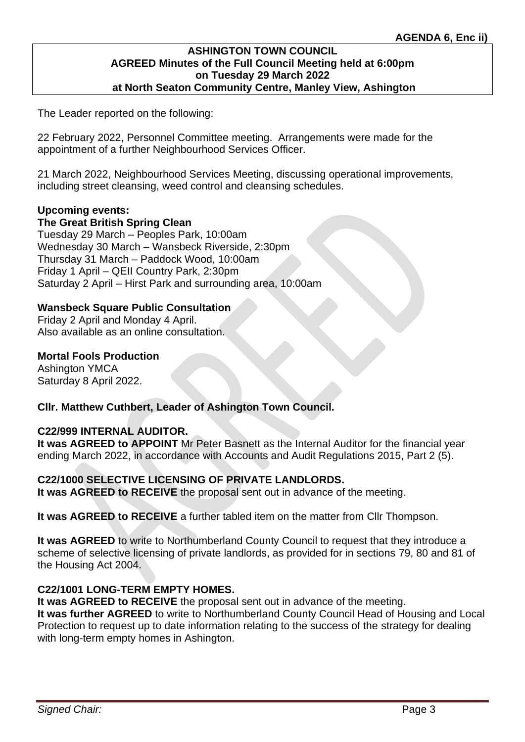The Leader reported on the following:

22 February 2022, Personnel Committee meeting. Arrangements were made for the appointment of a further Neighbourhood Services Officer.

21 March 2022, Neighbourhood Services Meeting, discussing operational improvements, including street cleansing, weed control and cleansing schedules.

## **Upcoming events:**

#### **The Great British Spring Clean**

Tuesday 29 March – Peoples Park, 10:00am Wednesday 30 March – Wansbeck Riverside, 2:30pm Thursday 31 March – Paddock Wood, 10:00am Friday 1 April – QEII Country Park, 2:30pm Saturday 2 April – Hirst Park and surrounding area, 10:00am

## **Wansbeck Square Public Consultation**

Friday 2 April and Monday 4 April. Also available as an online consultation.

## **Mortal Fools Production**

Ashington YMCA Saturday 8 April 2022.

# **Cllr. Matthew Cuthbert, Leader of Ashington Town Council.**

## **C22/999 INTERNAL AUDITOR.**

**It was AGREED to APPOINT** Mr Peter Basnett as the Internal Auditor for the financial year ending March 2022, in accordance with Accounts and Audit Regulations 2015, Part 2 (5).

## **C22/1000 SELECTIVE LICENSING OF PRIVATE LANDLORDS.**

**It was AGREED to RECEIVE** the proposal sent out in advance of the meeting.

**It was AGREED to RECEIVE** a further tabled item on the matter from Cllr Thompson.

**It was AGREED** to write to Northumberland County Council to request that they introduce a scheme of selective licensing of private landlords, as provided for in sections 79, 80 and 81 of the Housing Act 2004.

## **C22/1001 LONG-TERM EMPTY HOMES.**

**It was AGREED to RECEIVE** the proposal sent out in advance of the meeting. **It was further AGREED** to write to Northumberland County Council Head of Housing and Local Protection to request up to date information relating to the success of the strategy for dealing with long-term empty homes in Ashington.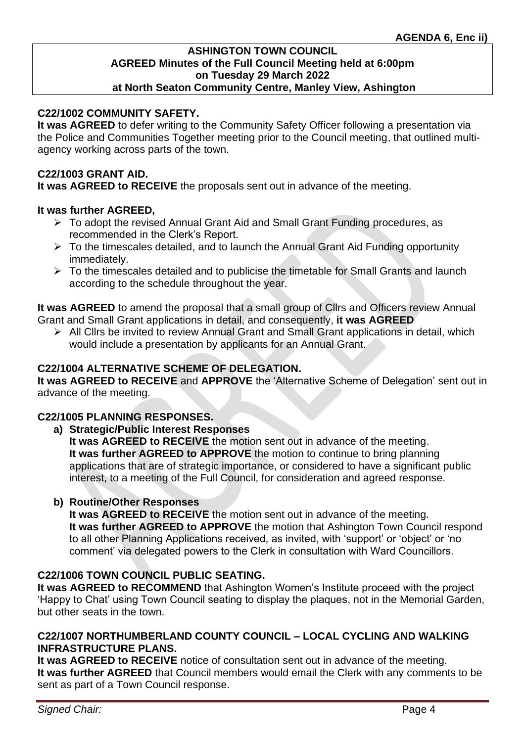# **C22/1002 COMMUNITY SAFETY.**

**It was AGREED** to defer writing to the Community Safety Officer following a presentation via the Police and Communities Together meeting prior to the Council meeting, that outlined multiagency working across parts of the town.

#### **C22/1003 GRANT AID.**

**It was AGREED to RECEIVE** the proposals sent out in advance of the meeting.

## **It was further AGREED,**

- ➢ To adopt the revised Annual Grant Aid and Small Grant Funding procedures, as recommended in the Clerk's Report.
- ➢ To the timescales detailed, and to launch the Annual Grant Aid Funding opportunity immediately.
- $\triangleright$  To the timescales detailed and to publicise the timetable for Small Grants and launch according to the schedule throughout the year.

**It was AGREED** to amend the proposal that a small group of Cllrs and Officers review Annual Grant and Small Grant applications in detail, and consequently, **it was AGREED**

➢ All Cllrs be invited to review Annual Grant and Small Grant applications in detail, which would include a presentation by applicants for an Annual Grant.

## **C22/1004 ALTERNATIVE SCHEME OF DELEGATION.**

**It was AGREED to RECEIVE** and **APPROVE** the 'Alternative Scheme of Delegation' sent out in advance of the meeting.

## **C22/1005 PLANNING RESPONSES.**

**a) Strategic/Public Interest Responses**

**It was AGREED to RECEIVE** the motion sent out in advance of the meeting. **It was further AGREED to APPROVE** the motion to continue to bring planning applications that are of strategic importance, or considered to have a significant public interest, to a meeting of the Full Council, for consideration and agreed response.

## **b) Routine/Other Responses**

**It was AGREED to RECEIVE** the motion sent out in advance of the meeting. **It was further AGREED to APPROVE** the motion that Ashington Town Council respond to all other Planning Applications received, as invited, with 'support' or 'object' or 'no comment' via delegated powers to the Clerk in consultation with Ward Councillors.

# **C22/1006 TOWN COUNCIL PUBLIC SEATING.**

**It was AGREED to RECOMMEND** that Ashington Women's Institute proceed with the project 'Happy to Chat' using Town Council seating to display the plaques, not in the Memorial Garden, but other seats in the town.

# **C22/1007 NORTHUMBERLAND COUNTY COUNCIL – LOCAL CYCLING AND WALKING INFRASTRUCTURE PLANS.**

**It was AGREED to RECEIVE** notice of consultation sent out in advance of the meeting. **It was further AGREED** that Council members would email the Clerk with any comments to be sent as part of a Town Council response.